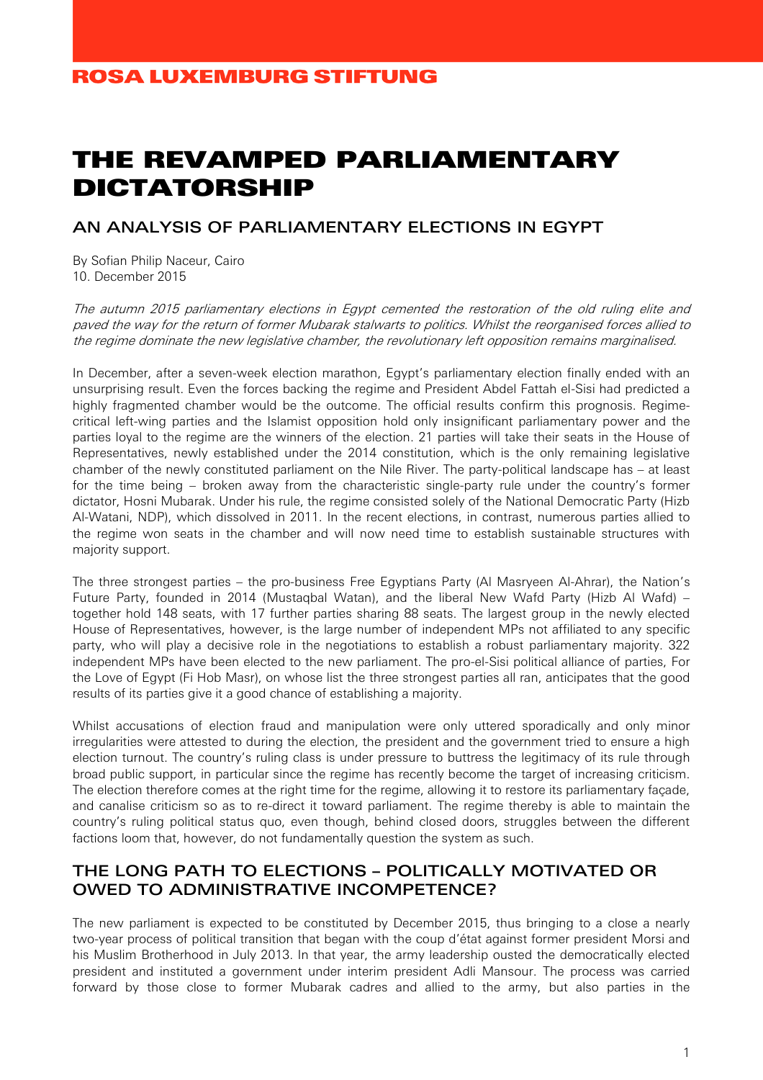# THE REVAMPED PARLIAMENTARY DICTATORSHIP

### AN ANALYSIS OF PARLIAMENTARY ELECTIONS IN EGYPT

By Sofian Philip Naceur, Cairo 10. December 2015

The autumn 2015 parliamentary elections in Egypt cemented the restoration of the old ruling elite and paved the way for the return of former Mubarak stalwarts to politics. Whilst the reorganised forces allied to the regime dominate the new legislative chamber, the revolutionary left opposition remains marginalised.

In December, after a seven-week election marathon, Egypt's parliamentary election finally ended with an unsurprising result. Even the forces backing the regime and President Abdel Fattah el-Sisi had predicted a highly fragmented chamber would be the outcome. The official results confirm this prognosis. Regimecritical left-wing parties and the Islamist opposition hold only insignificant parliamentary power and the parties loyal to the regime are the winners of the election. 21 parties will take their seats in the House of Representatives, newly established under the 2014 constitution, which is the only remaining legislative chamber of the newly constituted parliament on the Nile River. The party-political landscape has – at least for the time being – broken away from the characteristic single-party rule under the country's former dictator, Hosni Mubarak. Under his rule, the regime consisted solely of the National Democratic Party (Hizb Al-Watani, NDP), which dissolved in 2011. In the recent elections, in contrast, numerous parties allied to the regime won seats in the chamber and will now need time to establish sustainable structures with majority support.

The three strongest parties – the pro-business Free Egyptians Party (Al Masryeen Al-Ahrar), the Nation's Future Party, founded in 2014 (Mustaqbal Watan), and the liberal New Wafd Party (Hizb Al Wafd) – together hold 148 seats, with 17 further parties sharing 88 seats. The largest group in the newly elected House of Representatives, however, is the large number of independent MPs not affiliated to any specific party, who will play a decisive role in the negotiations to establish a robust parliamentary majority. 322 independent MPs have been elected to the new parliament. The pro-el-Sisi political alliance of parties, For the Love of Egypt (Fi Hob Masr), on whose list the three strongest parties all ran, anticipates that the good results of its parties give it a good chance of establishing a majority.

Whilst accusations of election fraud and manipulation were only uttered sporadically and only minor irregularities were attested to during the election, the president and the government tried to ensure a high election turnout. The country's ruling class is under pressure to buttress the legitimacy of its rule through broad public support, in particular since the regime has recently become the target of increasing criticism. The election therefore comes at the right time for the regime, allowing it to restore its parliamentary façade, and canalise criticism so as to re-direct it toward parliament. The regime thereby is able to maintain the country's ruling political status quo, even though, behind closed doors, struggles between the different factions loom that, however, do not fundamentally question the system as such.

#### THE LONG PATH TO ELECTIONS – POLITICALLY MOTIVATED OR OWED TO ADMINISTRATIVE INCOMPETENCE?

The new parliament is expected to be constituted by December 2015, thus bringing to a close a nearly two-year process of political transition that began with the coup d'état against former president Morsi and his Muslim Brotherhood in July 2013. In that year, the army leadership ousted the democratically elected president and instituted a government under interim president Adli Mansour. The process was carried forward by those close to former Mubarak cadres and allied to the army, but also parties in the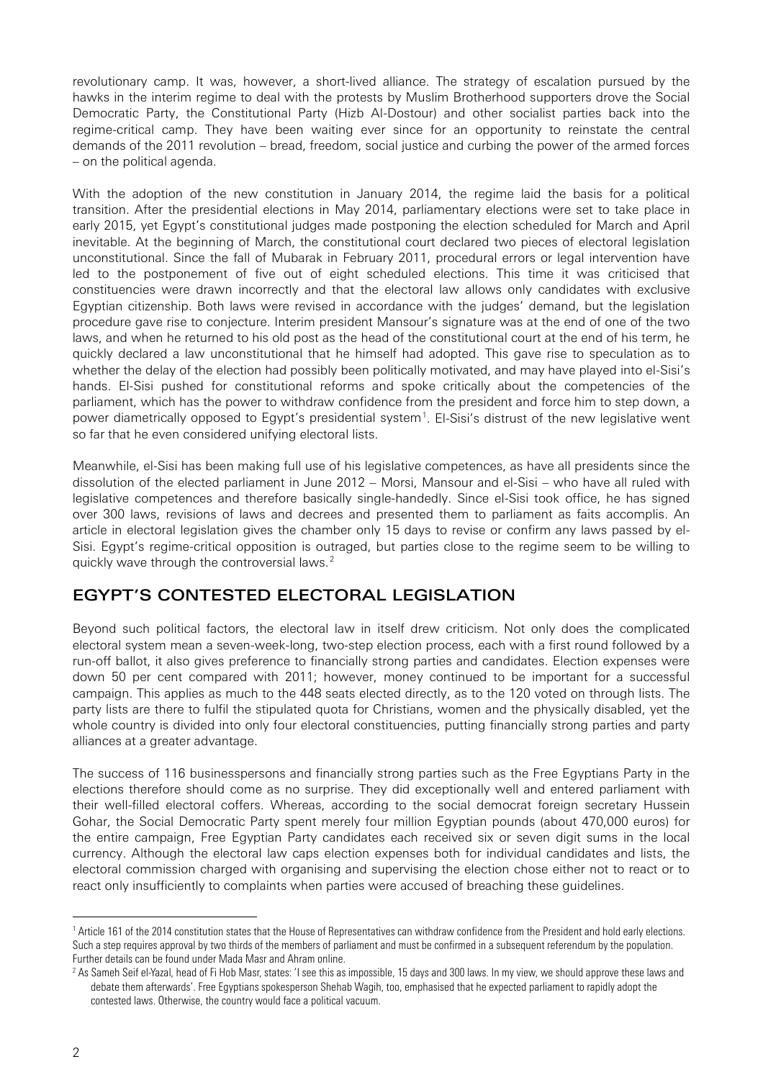revolutionary camp. It was, however, a short-lived alliance. The strategy of escalation pursued by the hawks in the interim regime to deal with the protests by Muslim Brotherhood supporters drove the Social Democratic Party, the Constitutional Party (Hizb Al-Dostour) and other socialist parties back into the regime-critical camp. They have been waiting ever since for an opportunity to reinstate the central demands of the 2011 revolution – bread, freedom, social justice and curbing the power of the armed forces – on the political agenda.

With the adoption of the new constitution in January 2014, the regime laid the basis for a political transition. After the presidential elections in May 2014, parliamentary elections were set to take place in early 2015, yet Egypt's constitutional judges made postponing the election scheduled for March and April inevitable. At the beginning of March, the constitutional court declared two pieces of electoral legislation unconstitutional. Since the fall of Mubarak in February 2011, procedural errors or legal intervention have led to the postponement of five out of eight scheduled elections. This time it was criticised that constituencies were drawn incorrectly and that the electoral law allows only candidates with exclusive Egyptian citizenship. Both laws were revised in accordance with the judges' demand, but the legislation procedure gave rise to conjecture. Interim president Mansour's signature was at the end of one of the two laws, and when he returned to his old post as the head of the constitutional court at the end of his term, he quickly declared a law unconstitutional that he himself had adopted. This gave rise to speculation as to whether the delay of the election had possibly been politically motivated, and may have played into el-Sisi's hands. El-Sisi pushed for constitutional reforms and spoke critically about the competencies of the parliament, which has the power to withdraw confidence from the president and force him to step down, a power diametrically opposed to Egypt's presidential system<sup>[1](#page-1-0)</sup>. El-Sisi's distrust of the new legislative went so far that he even considered unifying electoral lists.

Meanwhile, el-Sisi has been making full use of his legislative competences, as have all presidents since the dissolution of the elected parliament in June 2012 – Morsi, Mansour and el-Sisi – who have all ruled with legislative competences and therefore basically single-handedly. Since el-Sisi took office, he has signed over 300 laws, revisions of laws and decrees and presented them to parliament as faits accomplis. An article in electoral legislation gives the chamber only 15 days to revise or confirm any laws passed by el-Sisi. Egypt's regime-critical opposition is outraged, but parties close to the regime seem to be willing to quickly wave through the controversial laws.<sup>[2](#page-1-1)</sup>

#### EGYPT'S CONTESTED ELECTORAL LEGISLATION

Beyond such political factors, the electoral law in itself drew criticism. Not only does the complicated electoral system mean a seven-week-long, two-step election process, each with a first round followed by a run-off ballot, it also gives preference to financially strong parties and candidates. Election expenses were down 50 per cent compared with 2011; however, money continued to be important for a successful campaign. This applies as much to the 448 seats elected directly, as to the 120 voted on through lists. The party lists are there to fulfil the stipulated quota for Christians, women and the physically disabled, yet the whole country is divided into only four electoral constituencies, putting financially strong parties and party alliances at a greater advantage.

The success of 116 businesspersons and financially strong parties such as the Free Egyptians Party in the elections therefore should come as no surprise. They did exceptionally well and entered parliament with their well-filled electoral coffers. Whereas, according to the social democrat foreign secretary Hussein Gohar, the Social Democratic Party spent merely four million Egyptian pounds (about 470,000 euros) for the entire campaign, Free Egyptian Party candidates each received six or seven digit sums in the local currency. Although the electoral law caps election expenses both for individual candidates and lists, the electoral commission charged with organising and supervising the election chose either not to react or to react only insufficiently to complaints when parties were accused of breaching these guidelines.

<span id="page-1-0"></span><sup>1</sup> Article 161 of the 2014 constitution states that the House of Representatives can withdraw confidence from the President and hold early elections. Such a step requires approval by two thirds of the members of parliament and must be confirmed in a subsequent referendum by the population. Further details can be found under Mada Masr and Ahram online.

<span id="page-1-1"></span><sup>&</sup>lt;sup>2</sup> As Sameh Seif el-Yazal, head of Fi Hob Masr, states: 'I see this as impossible, 15 days and 300 laws. In my view, we should approve these laws and debate them afterwards'. Free Egyptians spokesperson Shehab Wagih, too, emphasised that he expected parliament to rapidly adopt the contested laws. Otherwise, the country would face a political vacuum.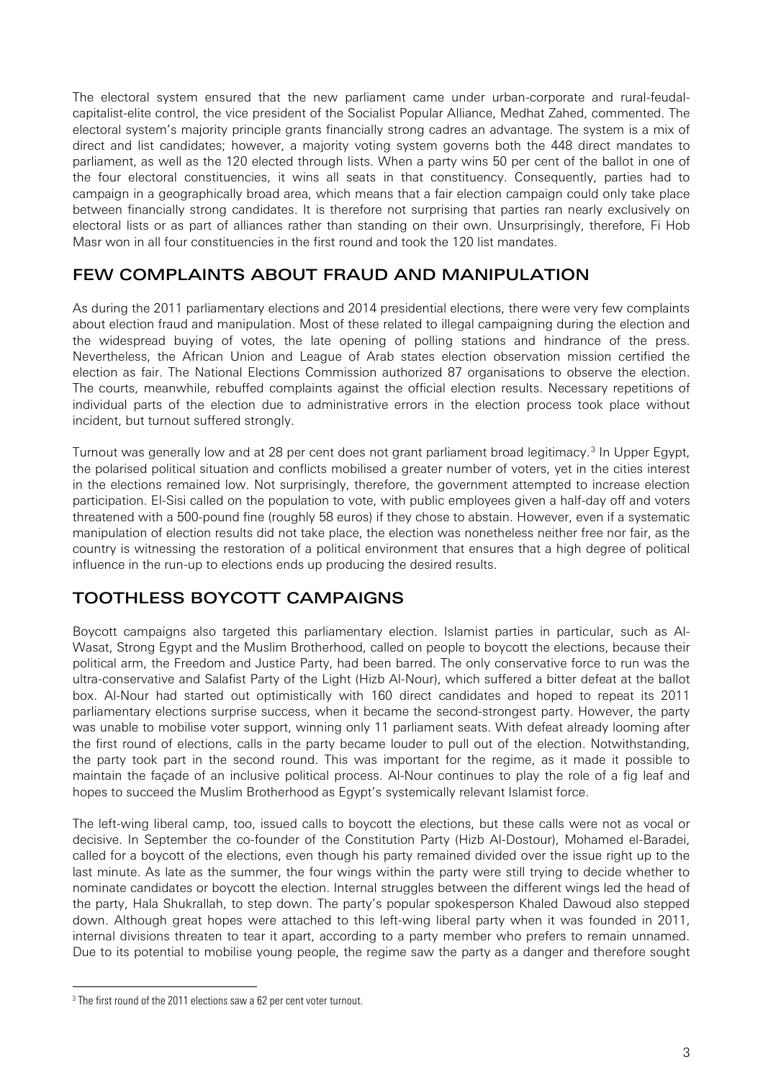The electoral system ensured that the new parliament came under urban-corporate and rural-feudalcapitalist-elite control, the vice president of the Socialist Popular Alliance, Medhat Zahed, commented. The electoral system's majority principle grants financially strong cadres an advantage. The system is a mix of direct and list candidates; however, a majority voting system governs both the 448 direct mandates to parliament, as well as the 120 elected through lists. When a party wins 50 per cent of the ballot in one of the four electoral constituencies, it wins all seats in that constituency. Consequently, parties had to campaign in a geographically broad area, which means that a fair election campaign could only take place between financially strong candidates. It is therefore not surprising that parties ran nearly exclusively on electoral lists or as part of alliances rather than standing on their own. Unsurprisingly, therefore, Fi Hob Masr won in all four constituencies in the first round and took the 120 list mandates.

### FEW COMPLAINTS ABOUT FRAUD AND MANIPULATION

As during the 2011 parliamentary elections and 2014 presidential elections, there were very few complaints about election fraud and manipulation. Most of these related to illegal campaigning during the election and the widespread buying of votes, the late opening of polling stations and hindrance of the press. Nevertheless, the African Union and League of Arab states election observation mission certified the election as fair. The National Elections Commission authorized 87 organisations to observe the election. The courts, meanwhile, rebuffed complaints against the official election results. Necessary repetitions of individual parts of the election due to administrative errors in the election process took place without incident, but turnout suffered strongly.

Turnout was generally low and at 28 per cent does not grant parliament broad legitimacy.<sup>[3](#page-2-0)</sup> In Upper Egypt, the polarised political situation and conflicts mobilised a greater number of voters, yet in the cities interest in the elections remained low. Not surprisingly, therefore, the government attempted to increase election participation. El-Sisi called on the population to vote, with public employees given a half-day off and voters threatened with a 500-pound fine (roughly 58 euros) if they chose to abstain. However, even if a systematic manipulation of election results did not take place, the election was nonetheless neither free nor fair, as the country is witnessing the restoration of a political environment that ensures that a high degree of political influence in the run-up to elections ends up producing the desired results.

## TOOTHLESS BOYCOTT CAMPAIGNS

Boycott campaigns also targeted this parliamentary election. Islamist parties in particular, such as Al-Wasat, Strong Egypt and the Muslim Brotherhood, called on people to boycott the elections, because their political arm, the Freedom and Justice Party, had been barred. The only conservative force to run was the ultra-conservative and Salafist Party of the Light (Hizb Al-Nour), which suffered a bitter defeat at the ballot box. Al-Nour had started out optimistically with 160 direct candidates and hoped to repeat its 2011 parliamentary elections surprise success, when it became the second-strongest party. However, the party was unable to mobilise voter support, winning only 11 parliament seats. With defeat already looming after the first round of elections, calls in the party became louder to pull out of the election. Notwithstanding, the party took part in the second round. This was important for the regime, as it made it possible to maintain the façade of an inclusive political process. Al-Nour continues to play the role of a fig leaf and hopes to succeed the Muslim Brotherhood as Egypt's systemically relevant Islamist force.

The left-wing liberal camp, too, issued calls to boycott the elections, but these calls were not as vocal or decisive. In September the co-founder of the Constitution Party (Hizb Al-Dostour), Mohamed el-Baradei, called for a boycott of the elections, even though his party remained divided over the issue right up to the last minute. As late as the summer, the four wings within the party were still trying to decide whether to nominate candidates or boycott the election. Internal struggles between the different wings led the head of the party, Hala Shukrallah, to step down. The party's popular spokesperson Khaled Dawoud also stepped down. Although great hopes were attached to this left-wing liberal party when it was founded in 2011, internal divisions threaten to tear it apart, according to a party member who prefers to remain unnamed. Due to its potential to mobilise young people, the regime saw the party as a danger and therefore sought

<span id="page-2-0"></span><sup>&</sup>lt;sup>3</sup> The first round of the 2011 elections saw a 62 per cent voter turnout.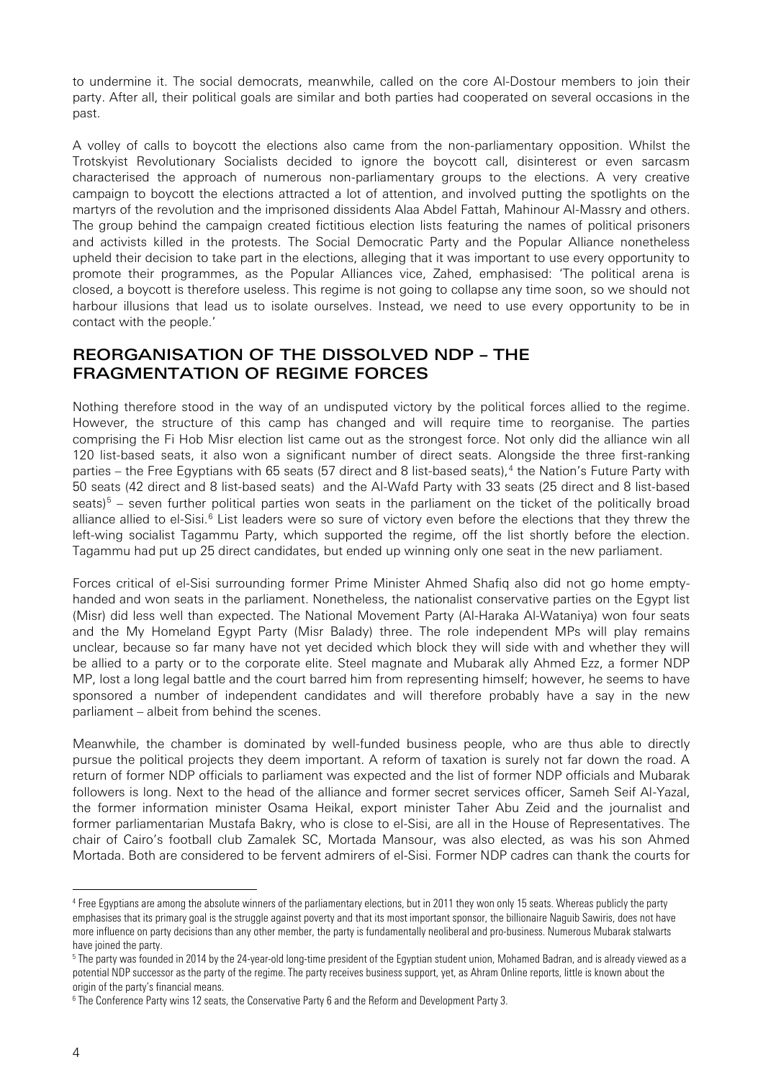to undermine it. The social democrats, meanwhile, called on the core Al-Dostour members to join their party. After all, their political goals are similar and both parties had cooperated on several occasions in the past.

A volley of calls to boycott the elections also came from the non-parliamentary opposition. Whilst the Trotskyist Revolutionary Socialists decided to ignore the boycott call, disinterest or even sarcasm characterised the approach of numerous non-parliamentary groups to the elections. A very creative campaign to boycott the elections attracted a lot of attention, and involved putting the spotlights on the martyrs of the revolution and the imprisoned dissidents Alaa Abdel Fattah, Mahinour Al-Massry and others. The group behind the campaign created fictitious election lists featuring the names of political prisoners and activists killed in the protests. The Social Democratic Party and the Popular Alliance nonetheless upheld their decision to take part in the elections, alleging that it was important to use every opportunity to promote their programmes, as the Popular Alliances vice, Zahed, emphasised: 'The political arena is closed, a boycott is therefore useless. This regime is not going to collapse any time soon, so we should not harbour illusions that lead us to isolate ourselves. Instead, we need to use every opportunity to be in contact with the people.'

### REORGANISATION OF THE DISSOLVED NDP – THE FRAGMENTATION OF REGIME FORCES

Nothing therefore stood in the way of an undisputed victory by the political forces allied to the regime. However, the structure of this camp has changed and will require time to reorganise. The parties comprising the Fi Hob Misr election list came out as the strongest force. Not only did the alliance win all 120 list-based seats, it also won a significant number of direct seats. Alongside the three first-ranking parties – the Free Egyptians with 65 seats (57 direct and 8 list-based seats), $4$  the Nation's Future Party with 50 seats (42 direct and 8 list-based seats) and the Al-Wafd Party with 33 seats (25 direct and 8 list-based seats) $5$  – seven further political parties won seats in the parliament on the ticket of the politically broad alliance allied to el-Sisi.<sup>[6](#page-3-2)</sup> List leaders were so sure of victory even before the elections that they threw the left-wing socialist Tagammu Party, which supported the regime, off the list shortly before the election. Tagammu had put up 25 direct candidates, but ended up winning only one seat in the new parliament.

Forces critical of el-Sisi surrounding former Prime Minister Ahmed Shafiq also did not go home emptyhanded and won seats in the parliament. Nonetheless, the nationalist conservative parties on the Egypt list (Misr) did less well than expected. The National Movement Party (Al-Haraka Al-Wataniya) won four seats and the My Homeland Egypt Party (Misr Balady) three. The role independent MPs will play remains unclear, because so far many have not yet decided which block they will side with and whether they will be allied to a party or to the corporate elite. Steel magnate and Mubarak ally Ahmed Ezz, a former NDP MP, lost a long legal battle and the court barred him from representing himself; however, he seems to have sponsored a number of independent candidates and will therefore probably have a say in the new parliament – albeit from behind the scenes.

Meanwhile, the chamber is dominated by well-funded business people, who are thus able to directly pursue the political projects they deem important. A reform of taxation is surely not far down the road. A return of former NDP officials to parliament was expected and the list of former NDP officials and Mubarak followers is long. Next to the head of the alliance and former secret services officer, Sameh Seif Al-Yazal, the former information minister Osama Heikal, export minister Taher Abu Zeid and the journalist and former parliamentarian Mustafa Bakry, who is close to el-Sisi, are all in the House of Representatives. The chair of Cairo's football club Zamalek SC, Mortada Mansour, was also elected, as was his son Ahmed Mortada. Both are considered to be fervent admirers of el-Sisi. Former NDP cadres can thank the courts for

<span id="page-3-0"></span><sup>&</sup>lt;sup>4</sup> Free Egyptians are among the absolute winners of the parliamentary elections, but in 2011 they won only 15 seats. Whereas publicly the party emphasises that its primary goal is the struggle against poverty and that its most important sponsor, the billionaire Naguib Sawiris, does not have more influence on party decisions than any other member, the party is fundamentally neoliberal and pro-business. Numerous Mubarak stalwarts have joined the party.

<span id="page-3-1"></span><sup>&</sup>lt;sup>5</sup> The party was founded in 2014 by the 24-year-old long-time president of the Egyptian student union, Mohamed Badran, and is already viewed as a potential NDP successor as the party of the regime. The party receives business support, yet, as Ahram Online reports, little is known about the origin of the party's financial means.

<span id="page-3-2"></span><sup>6</sup> The Conference Party wins 12 seats, the Conservative Party 6 and the Reform and Development Party 3.